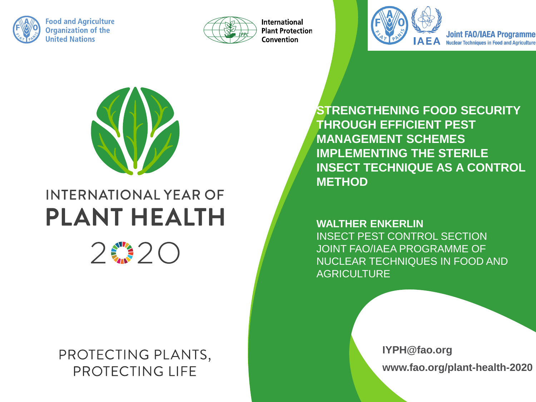

**Food and Agriculture Organization of the United Nations** 



**International Plant Protection** Convention



**Joint FAO/IAEA Programme Nuclear Techniques in Food and Agriculture** 



### **INTERNATIONAL YEAR OF PLANT HEALTH**



PROTECTING PLANTS, PROTECTING LIFE

**STRENGTHENING FOOD SECURITY THROUGH EFFICIENT PEST MANAGEMENT SCHEMES IMPLEMENTING THE STERILE INSECT TECHNIQUE AS A CONTROL METHOD**

**WALTHER ENKERLIN** INSECT PEST CONTROL SECTION JOINT FAO/IAEA PROGRAMME OF NUCLEAR TECHNIQUES IN FOOD AND **AGRICULTURE** 

> **IYPH@fao.org www.fao.org/plant-health-2020**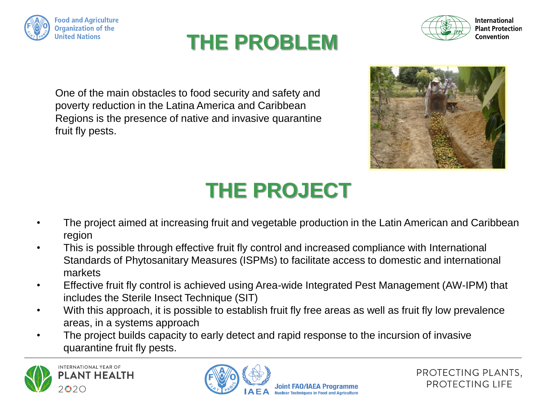





**International Plant Protection** Convention

One of the main obstacles to food security and safety and poverty reduction in the Latina America and Caribbean Regions is the presence of native and invasive quarantine fruit fly pests.



# **THE PROJECT**

- The project aimed at increasing fruit and vegetable production in the Latin American and Caribbean region
- This is possible through effective fruit fly control and increased compliance with International Standards of Phytosanitary Measures (ISPMs) to facilitate access to domestic and international markets
- Effective fruit fly control is achieved using Area-wide Integrated Pest Management (AW-IPM) that includes the Sterile Insect Technique (SIT)
- With this approach, it is possible to establish fruit fly free areas as well as fruit fly low prevalence areas, in a systems approach
- The project builds capacity to early detect and rapid response to the incursion of invasive quarantine fruit fly pests.



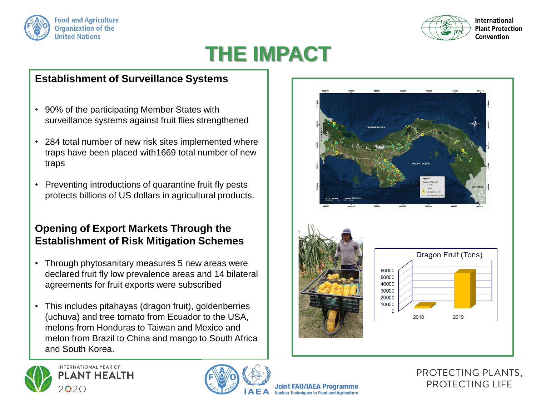



**International Plant Protection** Convention

### **THE IMPACT**

#### **Establishment of Surveillance Systems**

- 90% of the participating Member States with surveillance systems against fruit flies strengthened
- 284 total number of new risk sites implemented where traps have been placed with1669 total number of new traps
- Preventing introductions of quarantine fruit fly pests protects billions of US dollars in agricultural products.

#### **Opening of Export Markets Through the Establishment of Risk Mitigation Schemes**

- Through phytosanitary measures 5 new areas were declared fruit fly low prevalence areas and 14 bilateral agreements for fruit exports were subscribed
- This includes pitahayas (dragon fruit), goldenberries (uchuva) and tree tomato from Ecuador to the USA, melons from Honduras to Taiwan and Mexico and melon from Brazil to China and mango to South Africa and South Korea.







Joint FAO/IAEA Programme **Nuclear Techniques in Food and Agriculture** 

#### PROTECTING PLANTS, PROTECTING LIFE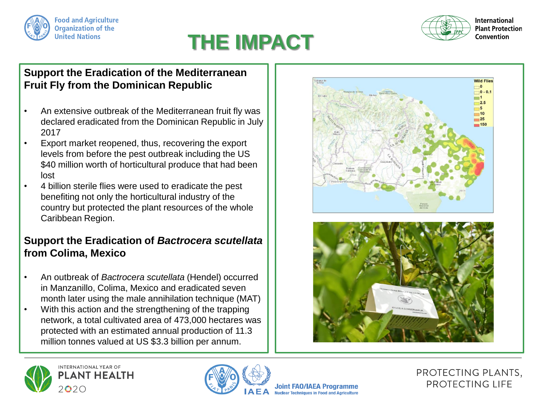



### **THE IMPACT**

#### **Support the Eradication of the Mediterranean Fruit Fly from the Dominican Republic**

- An extensive outbreak of the Mediterranean fruit fly was declared eradicated from the Dominican Republic in July 2017
- Export market reopened, thus, recovering the export levels from before the pest outbreak including the US \$40 million worth of horticultural produce that had been lost
- 4 billion sterile flies were used to eradicate the pest benefiting not only the horticultural industry of the country but protected the plant resources of the whole Caribbean Region.

#### **Support the Eradication of** *Bactrocera scutellata* **from Colima, Mexico**

- An outbreak of *Bactrocera scutellata* (Hendel) occurred in Manzanillo, Colima, Mexico and eradicated seven month later using the male annihilation technique (MAT)
- With this action and the strengthening of the trapping network, a total cultivated area of 473,000 hectares was protected with an estimated annual production of 11.3 million tonnes valued at US \$3.3 billion per annum.









Joint FAO/IAEA Programme **Nuclear Techniques in Food and Agriculture** 

PROTECTING PLANTS, PROTECTING LIFE